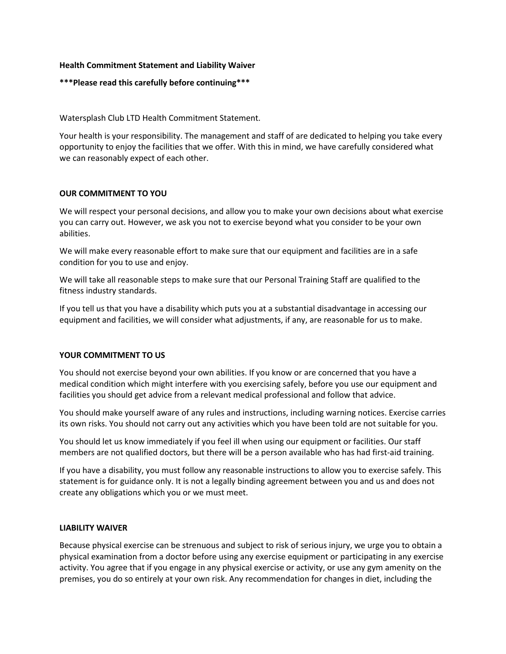# **Health Commitment Statement and Liability Waiver**

## **\*\*\*Please read this carefully before continuing\*\*\***

Watersplash Club LTD Health Commitment Statement.

Your health is your responsibility. The management and staff of are dedicated to helping you take every opportunity to enjoy the facilities that we offer. With this in mind, we have carefully considered what we can reasonably expect of each other.

# **OUR COMMITMENT TO YOU**

We will respect your personal decisions, and allow you to make your own decisions about what exercise you can carry out. However, we ask you not to exercise beyond what you consider to be your own abilities.

We will make every reasonable effort to make sure that our equipment and facilities are in a safe condition for you to use and enjoy.

We will take all reasonable steps to make sure that our Personal Training Staff are qualified to the fitness industry standards.

If you tell us that you have a disability which puts you at a substantial disadvantage in accessing our equipment and facilities, we will consider what adjustments, if any, are reasonable for us to make.

### **YOUR COMMITMENT TO US**

You should not exercise beyond your own abilities. If you know or are concerned that you have a medical condition which might interfere with you exercising safely, before you use our equipment and facilities you should get advice from a relevant medical professional and follow that advice.

You should make yourself aware of any rules and instructions, including warning notices. Exercise carries its own risks. You should not carry out any activities which you have been told are not suitable for you.

You should let us know immediately if you feel ill when using our equipment or facilities. Our staff members are not qualified doctors, but there will be a person available who has had first-aid training.

If you have a disability, you must follow any reasonable instructions to allow you to exercise safely. This statement is for guidance only. It is not a legally binding agreement between you and us and does not create any obligations which you or we must meet.

### **LIABILITY WAIVER**

Because physical exercise can be strenuous and subject to risk of serious injury, we urge you to obtain a physical examination from a doctor before using any exercise equipment or participating in any exercise activity. You agree that if you engage in any physical exercise or activity, or use any gym amenity on the premises, you do so entirely at your own risk. Any recommendation for changes in diet, including the